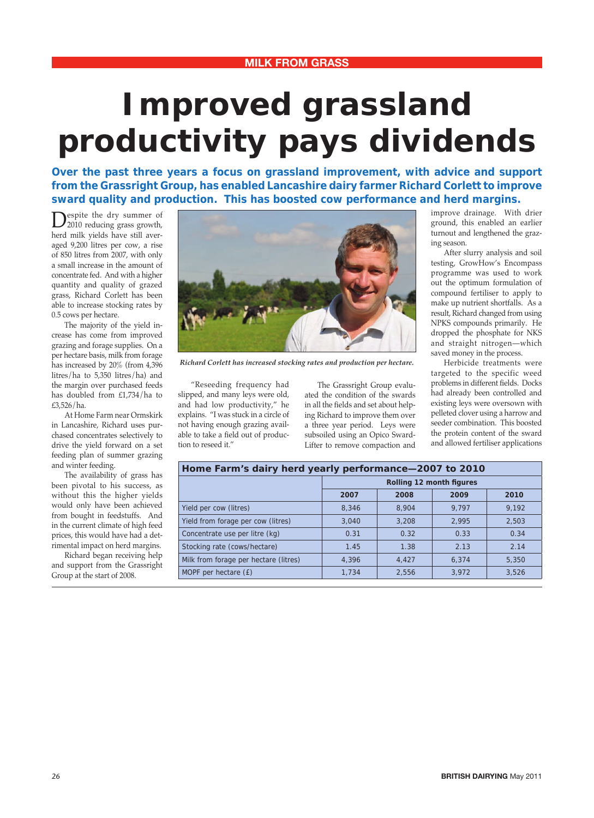## **Improved grassland productivity pays dividends**

**Over the past three years a focus on grassland improvement, with advice and support from the Grassright Group, has enabled Lancashire dairy farmer Richard Corlett to improve sward quality and production. This has boosted cow performance and herd margins.**

Despite the dry summer of<br>2010 reducing grass growth, herd milk yields have still averaged 9,200 litres per cow, a rise of 850 litres from 2007, with only a small increase in the amount of concentrate fed. And with a higher quantity and quality of grazed grass, Richard Corlett has been able to increase stocking rates by 0.5 cows per hectare.

 The majority of the yield increase has come from improved grazing and forage supplies. On a per hectare basis, milk from forage has increased by 20% (from 4,396 litres/ha to 5,350 litres/ha) and the margin over purchased feeds has doubled from £1,734/ha to £3,526/ha.

 At Home Farm near Ormskirk in Lancashire, Richard uses purchased concentrates selectively to drive the yield forward on a set feeding plan of summer grazing and winter feeding.

 The availability of grass has been pivotal to his success, as without this the higher yields would only have been achieved from bought in feedstuffs. And in the current climate of high feed prices, this would have had a detrimental impact on herd margins.

 Richard began receiving help and support from the Grassright Group at the start of 2008.



*Richard Corlett has increased stocking rates and production per hectare.*

 "Reseeding frequency had slipped, and many leys were old, and had low productivity," he explains. "I was stuck in a circle of not having enough grazing available to take a field out of production to reseed it."

 The Grassright Group evaluated the condition of the swards in all the fields and set about helping Richard to improve them over a three year period. Leys were subsoiled using an Opico Sward-Lifter to remove compaction and improve drainage. With drier ground, this enabled an earlier turnout and lengthened the grazing season.

 After slurry analysis and soil testing, GrowHow's Encompass programme was used to work out the optimum formulation of compound fertiliser to apply to make up nutrient shortfalls. As a result, Richard changed from using NPKS compounds primarily. He dropped the phosphate for NKS and straight nitrogen—which saved money in the process.

 Herbicide treatments were targeted to the specific weed problems in different fields. Docks had already been controlled and existing leys were oversown with pelleted clover using a harrow and seeder combination. This boosted the protein content of the sward and allowed fertiliser applications

| Home Farm's dairy herd yearly performance-2007 to 2010 |                          |       |       |       |
|--------------------------------------------------------|--------------------------|-------|-------|-------|
|                                                        | Rolling 12 month figures |       |       |       |
|                                                        | 2007                     | 2008  | 2009  | 2010  |
| Yield per cow (litres)                                 | 8.346                    | 8,904 | 9.797 | 9.192 |
| Yield from forage per cow (litres)                     | 3,040                    | 3,208 | 2,995 | 2.503 |
| Concentrate use per litre (kg)                         | 0.31                     | 0.32  | 0.33  | 0.34  |
| Stocking rate (cows/hectare)                           | 1.45                     | 1.38  | 2.13  | 2.14  |
| Milk from forage per hectare (litres)                  | 4.396                    | 4.427 | 6,374 | 5,350 |
| MOPF per hectare (£)                                   | 1.734                    | 2.556 | 3.972 | 3.526 |